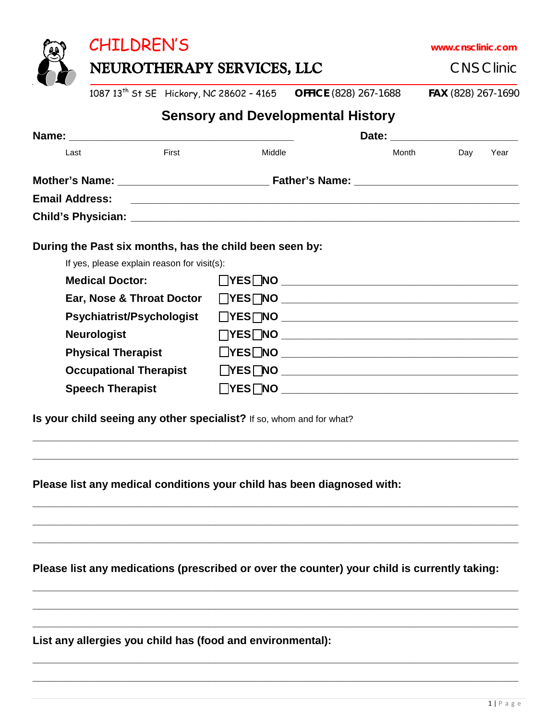NEUROTHERAPY SERVICES, LLC CNS Clinic

1087 13th St SE Hickory, NC 28602 – 4165 **OFFICE** (828) 267-1688 **FAX** (828) 267-1690

## **Sensory and Developmental History**

| Last                             | First                                                   | Middle                      | Month | Day | Year |  |
|----------------------------------|---------------------------------------------------------|-----------------------------|-------|-----|------|--|
|                                  |                                                         |                             |       |     |      |  |
|                                  |                                                         |                             |       |     |      |  |
|                                  |                                                         |                             |       |     |      |  |
|                                  | During the Past six months, has the child been seen by: |                             |       |     |      |  |
|                                  | If yes, please explain reason for visit(s):             |                             |       |     |      |  |
| <b>Medical Doctor:</b>           |                                                         | $\Box$ YES $\Box$ NO        |       |     |      |  |
| Ear, Nose & Throat Doctor        |                                                         |                             |       |     |      |  |
| <b>Psychiatrist/Psychologist</b> |                                                         |                             |       |     |      |  |
| <b>Neurologist</b>               |                                                         |                             |       |     |      |  |
| <b>Physical Therapist</b>        |                                                         | $\Box$ YES $\Box$ NO $\Box$ |       |     |      |  |
| <b>Occupational Therapist</b>    |                                                         |                             |       |     |      |  |
|                                  | <b>Speech Therapist</b>                                 |                             |       |     |      |  |
|                                  |                                                         |                             |       |     |      |  |

**\_\_\_\_\_\_\_\_\_\_\_\_\_\_\_\_\_\_\_\_\_\_\_\_\_\_\_\_\_\_\_\_\_\_\_\_\_\_\_\_\_\_\_\_\_\_\_\_\_\_\_\_\_\_\_\_\_\_\_\_\_\_\_\_\_\_\_\_\_\_\_\_\_\_\_\_\_\_\_\_ \_\_\_\_\_\_\_\_\_\_\_\_\_\_\_\_\_\_\_\_\_\_\_\_\_\_\_\_\_\_\_\_\_\_\_\_\_\_\_\_\_\_\_\_\_\_\_\_\_\_\_\_\_\_\_\_\_\_\_\_\_\_\_\_\_\_\_\_\_\_\_\_\_\_\_\_\_\_\_\_**

**\_\_\_\_\_\_\_\_\_\_\_\_\_\_\_\_\_\_\_\_\_\_\_\_\_\_\_\_\_\_\_\_\_\_\_\_\_\_\_\_\_\_\_\_\_\_\_\_\_\_\_\_\_\_\_\_\_\_\_\_\_\_\_\_\_\_\_\_\_\_\_\_\_\_\_\_\_\_\_\_ \_\_\_\_\_\_\_\_\_\_\_\_\_\_\_\_\_\_\_\_\_\_\_\_\_\_\_\_\_\_\_\_\_\_\_\_\_\_\_\_\_\_\_\_\_\_\_\_\_\_\_\_\_\_\_\_\_\_\_\_\_\_\_\_\_\_\_\_\_\_\_\_\_\_\_\_\_\_\_\_ \_\_\_\_\_\_\_\_\_\_\_\_\_\_\_\_\_\_\_\_\_\_\_\_\_\_\_\_\_\_\_\_\_\_\_\_\_\_\_\_\_\_\_\_\_\_\_\_\_\_\_\_\_\_\_\_\_\_\_\_\_\_\_\_\_\_\_\_\_\_\_\_\_\_\_\_\_\_\_\_**

**Is your child seeing any other specialist?** If so, whom and for what?

**Please list any medical conditions your child has been diagnosed with:**

**Please list any medications (prescribed or over the counter) your child is currently taking:**

**\_\_\_\_\_\_\_\_\_\_\_\_\_\_\_\_\_\_\_\_\_\_\_\_\_\_\_\_\_\_\_\_\_\_\_\_\_\_\_\_\_\_\_\_\_\_\_\_\_\_\_\_\_\_\_\_\_\_\_\_\_\_\_\_\_\_\_\_\_\_\_\_\_\_\_\_\_\_\_\_ \_\_\_\_\_\_\_\_\_\_\_\_\_\_\_\_\_\_\_\_\_\_\_\_\_\_\_\_\_\_\_\_\_\_\_\_\_\_\_\_\_\_\_\_\_\_\_\_\_\_\_\_\_\_\_\_\_\_\_\_\_\_\_\_\_\_\_\_\_\_\_\_\_\_\_\_\_\_\_\_ \_\_\_\_\_\_\_\_\_\_\_\_\_\_\_\_\_\_\_\_\_\_\_\_\_\_\_\_\_\_\_\_\_\_\_\_\_\_\_\_\_\_\_\_\_\_\_\_\_\_\_\_\_\_\_\_\_\_\_\_\_\_\_\_\_\_\_\_\_\_\_\_\_\_\_\_\_\_\_\_**

**\_\_\_\_\_\_\_\_\_\_\_\_\_\_\_\_\_\_\_\_\_\_\_\_\_\_\_\_\_\_\_\_\_\_\_\_\_\_\_\_\_\_\_\_\_\_\_\_\_\_\_\_\_\_\_\_\_\_\_\_\_\_\_\_\_\_\_\_\_\_\_\_\_\_\_\_\_\_\_\_ \_\_\_\_\_\_\_\_\_\_\_\_\_\_\_\_\_\_\_\_\_\_\_\_\_\_\_\_\_\_\_\_\_\_\_\_\_\_\_\_\_\_\_\_\_\_\_\_\_\_\_\_\_\_\_\_\_\_\_\_\_\_\_\_\_\_\_\_\_\_\_\_\_\_\_\_\_\_\_\_**

**List any allergies you child has (food and environmental):**



CHILDREN'S **www.cnsclinic.com**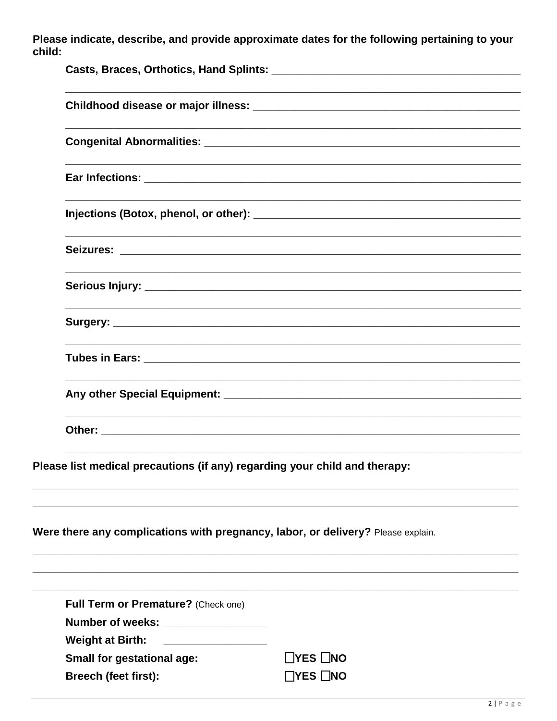Please indicate, describe, and provide approximate dates for the following pertaining to your child:

|  | Please list medical precautions (if any) regarding your child and therapy: |                                                                                  |  |  |  |  |  |
|--|----------------------------------------------------------------------------|----------------------------------------------------------------------------------|--|--|--|--|--|
|  |                                                                            | Were there any complications with pregnancy, labor, or delivery? Please explain. |  |  |  |  |  |
|  | Full Term or Premature? (Check one)                                        |                                                                                  |  |  |  |  |  |
|  | Number of weeks: ________________                                          |                                                                                  |  |  |  |  |  |
|  | <b>Weight at Birth:</b>                                                    |                                                                                  |  |  |  |  |  |
|  | <b>Small for gestational age:</b>                                          | $\Box$ YES $\Box$ NO                                                             |  |  |  |  |  |
|  | <b>Breech (feet first):</b>                                                | $\Box$ YES $\Box$ NO                                                             |  |  |  |  |  |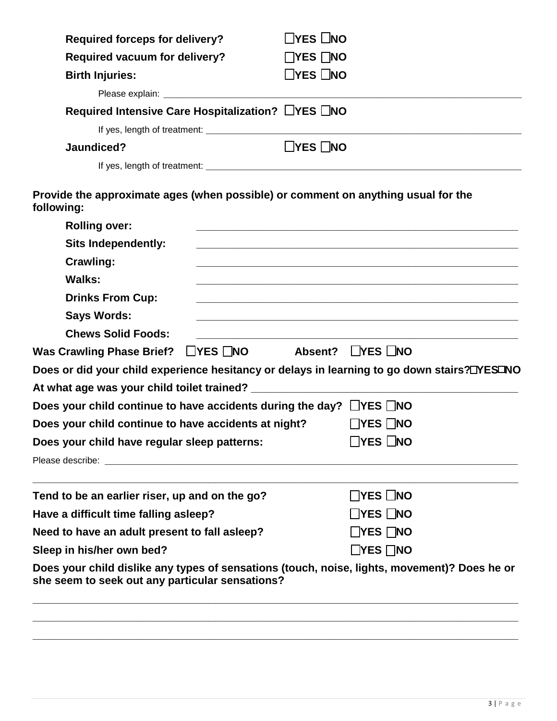| <b>Required forceps for delivery?</b>                                                           | ΠYES ∐NO                                                                                                             |  |  |  |  |  |
|-------------------------------------------------------------------------------------------------|----------------------------------------------------------------------------------------------------------------------|--|--|--|--|--|
| <b>Required vacuum for delivery?</b>                                                            | $\Box$ YES $\Box$ NO                                                                                                 |  |  |  |  |  |
| <b>Birth Injuries:</b>                                                                          | $\Box$ YES $\Box$ NO                                                                                                 |  |  |  |  |  |
|                                                                                                 |                                                                                                                      |  |  |  |  |  |
| Required Intensive Care Hospitalization? LYES DNO                                               |                                                                                                                      |  |  |  |  |  |
|                                                                                                 |                                                                                                                      |  |  |  |  |  |
| Jaundiced?                                                                                      | $\Box$ YES $\Box$ NO                                                                                                 |  |  |  |  |  |
|                                                                                                 |                                                                                                                      |  |  |  |  |  |
| Provide the approximate ages (when possible) or comment on anything usual for the<br>following: |                                                                                                                      |  |  |  |  |  |
| <b>Rolling over:</b>                                                                            |                                                                                                                      |  |  |  |  |  |
| <b>Sits Independently:</b>                                                                      |                                                                                                                      |  |  |  |  |  |
| Crawling:                                                                                       | <u> 1980 - Jan James James James James James James James James James James James James James James James James J</u> |  |  |  |  |  |
| <b>Walks:</b>                                                                                   |                                                                                                                      |  |  |  |  |  |
| <b>Drinks From Cup:</b>                                                                         |                                                                                                                      |  |  |  |  |  |
| <b>Says Words:</b>                                                                              |                                                                                                                      |  |  |  |  |  |
| <b>Chews Solid Foods:</b>                                                                       |                                                                                                                      |  |  |  |  |  |
| <b>Was Crawling Phase Brief?</b>                                                                | $\Box$ YES $\Box$ NO Absent? $\Box$ YES $\Box$ NO                                                                    |  |  |  |  |  |
| Does or did your child experience hesitancy or delays in learning to go down stairs?□YES□NO     |                                                                                                                      |  |  |  |  |  |
|                                                                                                 |                                                                                                                      |  |  |  |  |  |
| Does your child continue to have accidents during the day? $\Box$ YES $\Box$ NO                 |                                                                                                                      |  |  |  |  |  |
| Does your child continue to have accidents at night?                                            | $\Box$ YES $\Box$ NO                                                                                                 |  |  |  |  |  |
| Does your child have regular sleep patterns:                                                    |                                                                                                                      |  |  |  |  |  |
|                                                                                                 |                                                                                                                      |  |  |  |  |  |
| Tend to be an earlier riser, up and on the go?                                                  | $\Box$ YES $\Box$ NO                                                                                                 |  |  |  |  |  |
| Have a difficult time falling asleep?                                                           | $\Box$ YES $\Box$ NO                                                                                                 |  |  |  |  |  |
| Need to have an adult present to fall asleep?                                                   | $\Box$ YES $\Box$ NO                                                                                                 |  |  |  |  |  |
| Sleep in his/her own bed?                                                                       | $\Box$ YES $\Box$ NO                                                                                                 |  |  |  |  |  |
| Does your child dislike any types of sensations (touch, noise, lights, movement)? Does he or    |                                                                                                                      |  |  |  |  |  |
| she seem to seek out any particular sensations?                                                 |                                                                                                                      |  |  |  |  |  |
|                                                                                                 |                                                                                                                      |  |  |  |  |  |
|                                                                                                 |                                                                                                                      |  |  |  |  |  |

**\_\_\_\_\_\_\_\_\_\_\_\_\_\_\_\_\_\_\_\_\_\_\_\_\_\_\_\_\_\_\_\_\_\_\_\_\_\_\_\_\_\_\_\_\_\_\_\_\_\_\_\_\_\_\_\_\_\_\_\_\_\_\_\_\_\_\_\_\_\_\_\_\_\_\_\_\_\_\_\_**